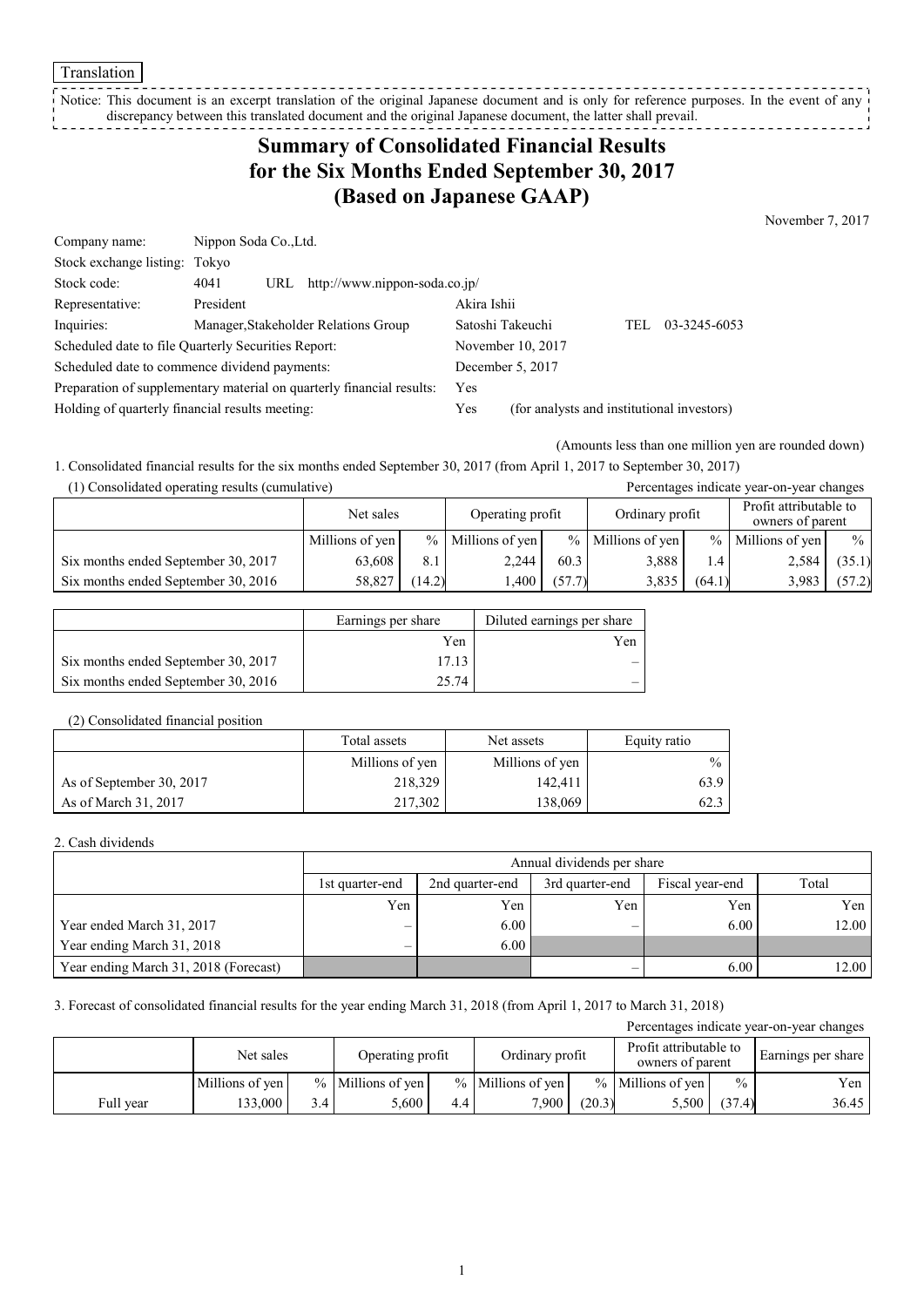Translation

Notice: This document is an excerpt translation of the original Japanese document and is only for reference purposes. In the event of any discrepancy between this translated document and the original Japanese document, the latter shall prevail. ----------------

# **Summary of Consolidated Financial Results for the Six Months Ended September 30, 2017 (Based on Japanese GAAP)**

November 7, 2017

| Company name:                                                         | Nippon Soda Co., Ltd. |     |                                      |             |                                            |      |              |
|-----------------------------------------------------------------------|-----------------------|-----|--------------------------------------|-------------|--------------------------------------------|------|--------------|
| Stock exchange listing: Tokyo                                         |                       |     |                                      |             |                                            |      |              |
| Stock code:                                                           | 4041                  | URL | http://www.nippon-soda.co.jp/        |             |                                            |      |              |
| Representative:                                                       | President             |     |                                      | Akira Ishii |                                            |      |              |
| Inquiries:                                                            |                       |     | Manager, Stakeholder Relations Group |             | Satoshi Takeuchi                           | TEL. | 03-3245-6053 |
| Scheduled date to file Quarterly Securities Report:                   |                       |     | November 10, 2017                    |             |                                            |      |              |
| Scheduled date to commence dividend payments:                         |                       |     |                                      |             | December 5, 2017                           |      |              |
| Preparation of supplementary material on quarterly financial results: |                       |     |                                      | Yes         |                                            |      |              |
| Holding of quarterly financial results meeting:                       |                       |     |                                      | Yes         | (for analysts and institutional investors) |      |              |

(Amounts less than one million yen are rounded down)

1. Consolidated financial results for the six months ended September 30, 2017 (from April 1, 2017 to September 30, 2017) (1) Consolidated operating results (cumulative) Percentages indicate year-on-year changes

| $(1)$ consolidated operating results (cumulative) |                 |                 |                  |        |                     |               | I creentages marcule year on year enanges  |               |
|---------------------------------------------------|-----------------|-----------------|------------------|--------|---------------------|---------------|--------------------------------------------|---------------|
|                                                   | Net sales       |                 | Operating profit |        | Ordinary profit     |               | Profit attributable to<br>owners of parent |               |
|                                                   | Millions of yen | $\frac{0}{0}$ 1 | Millions of yen  |        | $%$ Millions of yen | $\frac{0}{0}$ | Millions of yen                            | $\frac{0}{0}$ |
| Six months ended September 30, 2017               | 63.608          | 8.1             | 2.244            | 60.3   | 3.888               | 1.4           | 2,584                                      | (35.1)        |
| Six months ended September 30, 2016               | 58.827          | (14.2)          | .400             | (57.7) | 3,835               | (64.1)        | 3.983                                      | (57.2)        |

|                                     | Earnings per share | Diluted earnings per share |
|-------------------------------------|--------------------|----------------------------|
|                                     | Yen                | Yen                        |
| Six months ended September 30, 2017 | 17.13              |                            |
| Six months ended September 30, 2016 | 25.74              |                            |

#### (2) Consolidated financial position

|                          | Total assets    | Net assets      | Equity ratio  |
|--------------------------|-----------------|-----------------|---------------|
|                          | Millions of yen | Millions of yen | $\frac{0}{0}$ |
| As of September 30, 2017 | 218,329         | 142,411         | 63.9          |
| As of March 31, 2017     | 217.302         | 138,069         | 62.3          |

#### 2. Cash dividends

|                                       | Annual dividends per share |                                                       |     |      |       |  |  |  |
|---------------------------------------|----------------------------|-------------------------------------------------------|-----|------|-------|--|--|--|
|                                       | 1st quarter-end            | Fiscal year-end<br>2nd quarter-end<br>3rd quarter-end |     |      |       |  |  |  |
|                                       | Yen                        | Yen                                                   | Yen | Yen  | Yen   |  |  |  |
| Year ended March 31, 2017             |                            | 6.00                                                  | -   | 6.00 | 12.00 |  |  |  |
| Year ending March 31, 2018            |                            | 6.00                                                  |     |      |       |  |  |  |
| Year ending March 31, 2018 (Forecast) |                            |                                                       |     | 6.00 | 12.00 |  |  |  |

### 3. Forecast of consolidated financial results for the year ending March 31, 2018 (from April 1, 2017 to March 31, 2018)

| Percentages indicate year-on-year changes |                 |                  |                     |     |                     |        |                                            |               |                    |
|-------------------------------------------|-----------------|------------------|---------------------|-----|---------------------|--------|--------------------------------------------|---------------|--------------------|
|                                           | Net sales       |                  | Operating profit    |     | Ordinary profit     |        | Profit attributable to<br>owners of parent |               | Earnings per share |
|                                           | Millions of yen |                  | $%$ Millions of yen |     | $%$ Millions of yen |        | $%$ Millions of yen                        | $\frac{0}{0}$ | Yen                |
| Full year                                 | 33,000          | 3.4 <sub>1</sub> | 5.600               | 4.4 | 7.900 1             | (20.3) | 5,500                                      | (37.4)        | 36.45              |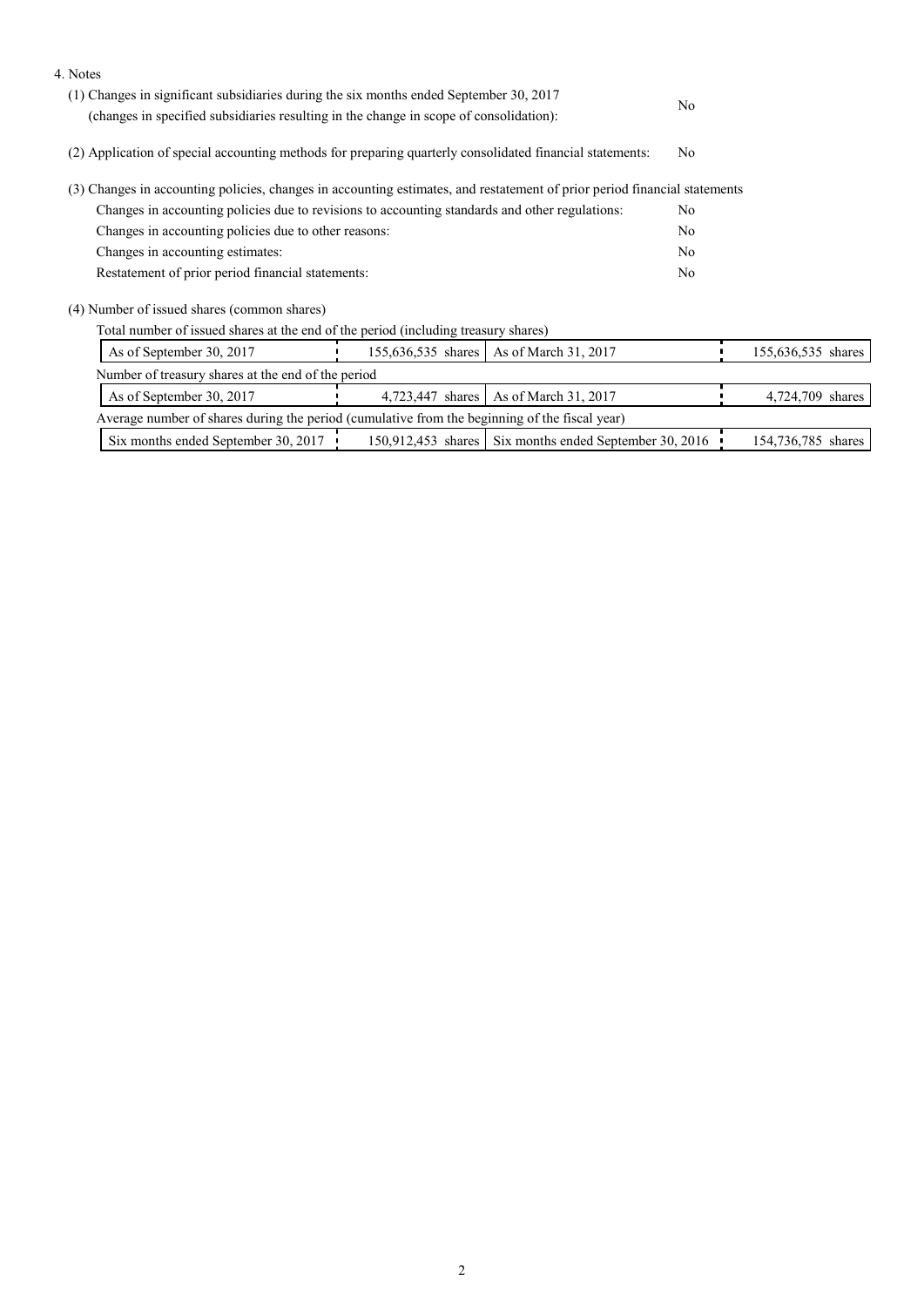| (1) Changes in significant subsidiaries during the six months ended September 30, 2017                                     |  |
|----------------------------------------------------------------------------------------------------------------------------|--|
|                                                                                                                            |  |
| No.<br>(changes in specified subsidiaries resulting in the change in scope of consolidation):                              |  |
| (2) Application of special accounting methods for preparing quarterly consolidated financial statements:<br>N <sub>0</sub> |  |
| (3) Changes in accounting policies, changes in accounting estimates, and restatement of prior period financial statements  |  |
| Changes in accounting policies due to revisions to accounting standards and other regulations:<br>N <sub>0</sub>           |  |
| Changes in accounting policies due to other reasons:<br>N <sub>0</sub>                                                     |  |
| Changes in accounting estimates:<br>N <sub>0</sub>                                                                         |  |
| Restatement of prior period financial statements:<br>N <sub>0</sub>                                                        |  |
| (4) Number of issued shares (common shares)                                                                                |  |
| Total number of issued shares at the end of the period (including treasury shares)                                         |  |
| As of September 30, 2017<br>155,636,535 shares   As of March 31, 2017<br>155,636,535 shares                                |  |
| Number of treasury shares at the end of the period                                                                         |  |
| 4,723,447 shares   As of March 31, 2017<br>As of September 30, 2017<br>4,724,709 shares                                    |  |
| Average number of shares during the period (cumulative from the beginning of the fiscal year)                              |  |
| Six months ended September 30, 2017<br>150,912,453 shares Six months ended September 30, 2016<br>154,736,785 shares        |  |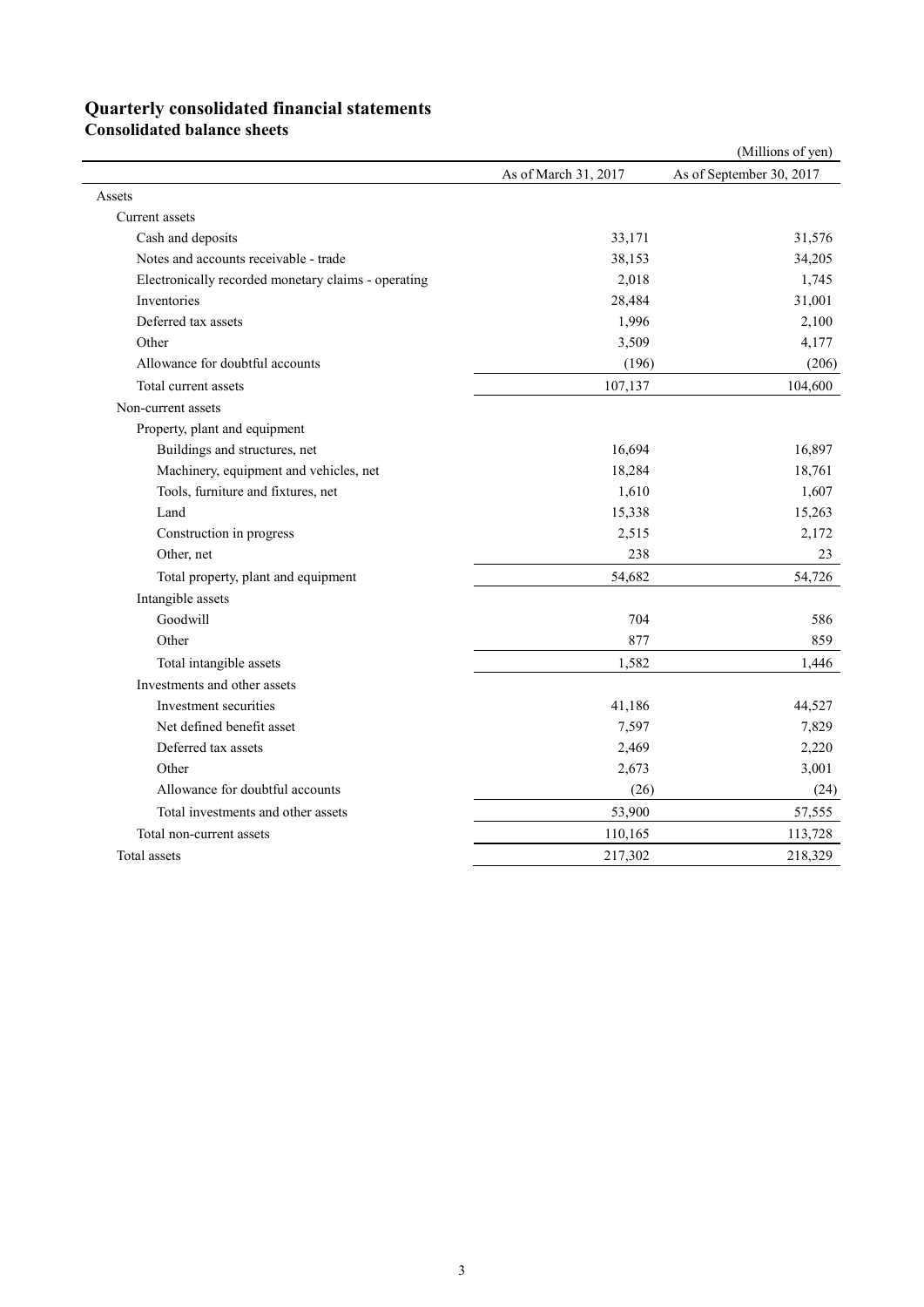# **Quarterly consolidated financial statements**

**Consolidated balance sheets** 

|                                                     |                      | (Millions of yen)        |
|-----------------------------------------------------|----------------------|--------------------------|
|                                                     | As of March 31, 2017 | As of September 30, 2017 |
| Assets                                              |                      |                          |
| Current assets                                      |                      |                          |
| Cash and deposits                                   | 33,171               | 31,576                   |
| Notes and accounts receivable - trade               | 38,153               | 34,205                   |
| Electronically recorded monetary claims - operating | 2,018                | 1,745                    |
| Inventories                                         | 28,484               | 31,001                   |
| Deferred tax assets                                 | 1,996                | 2,100                    |
| Other                                               | 3,509                | 4,177                    |
| Allowance for doubtful accounts                     | (196)                | (206)                    |
| Total current assets                                | 107,137              | 104,600                  |
| Non-current assets                                  |                      |                          |
| Property, plant and equipment                       |                      |                          |
| Buildings and structures, net                       | 16,694               | 16,897                   |
| Machinery, equipment and vehicles, net              | 18,284               | 18,761                   |
| Tools, furniture and fixtures, net                  | 1,610                | 1,607                    |
| Land                                                | 15,338               | 15,263                   |
| Construction in progress                            | 2,515                | 2,172                    |
| Other, net                                          | 238                  | 23                       |
| Total property, plant and equipment                 | 54,682               | 54,726                   |
| Intangible assets                                   |                      |                          |
| Goodwill                                            | 704                  | 586                      |
| Other                                               | 877                  | 859                      |
| Total intangible assets                             | 1,582                | 1,446                    |
| Investments and other assets                        |                      |                          |
| Investment securities                               | 41,186               | 44,527                   |
| Net defined benefit asset                           | 7,597                | 7,829                    |
| Deferred tax assets                                 | 2,469                | 2,220                    |
| Other                                               | 2,673                | 3,001                    |
| Allowance for doubtful accounts                     | (26)                 | (24)                     |
| Total investments and other assets                  | 53,900               | 57,555                   |
| Total non-current assets                            | 110,165              | 113,728                  |
| Total assets                                        | 217,302              | 218,329                  |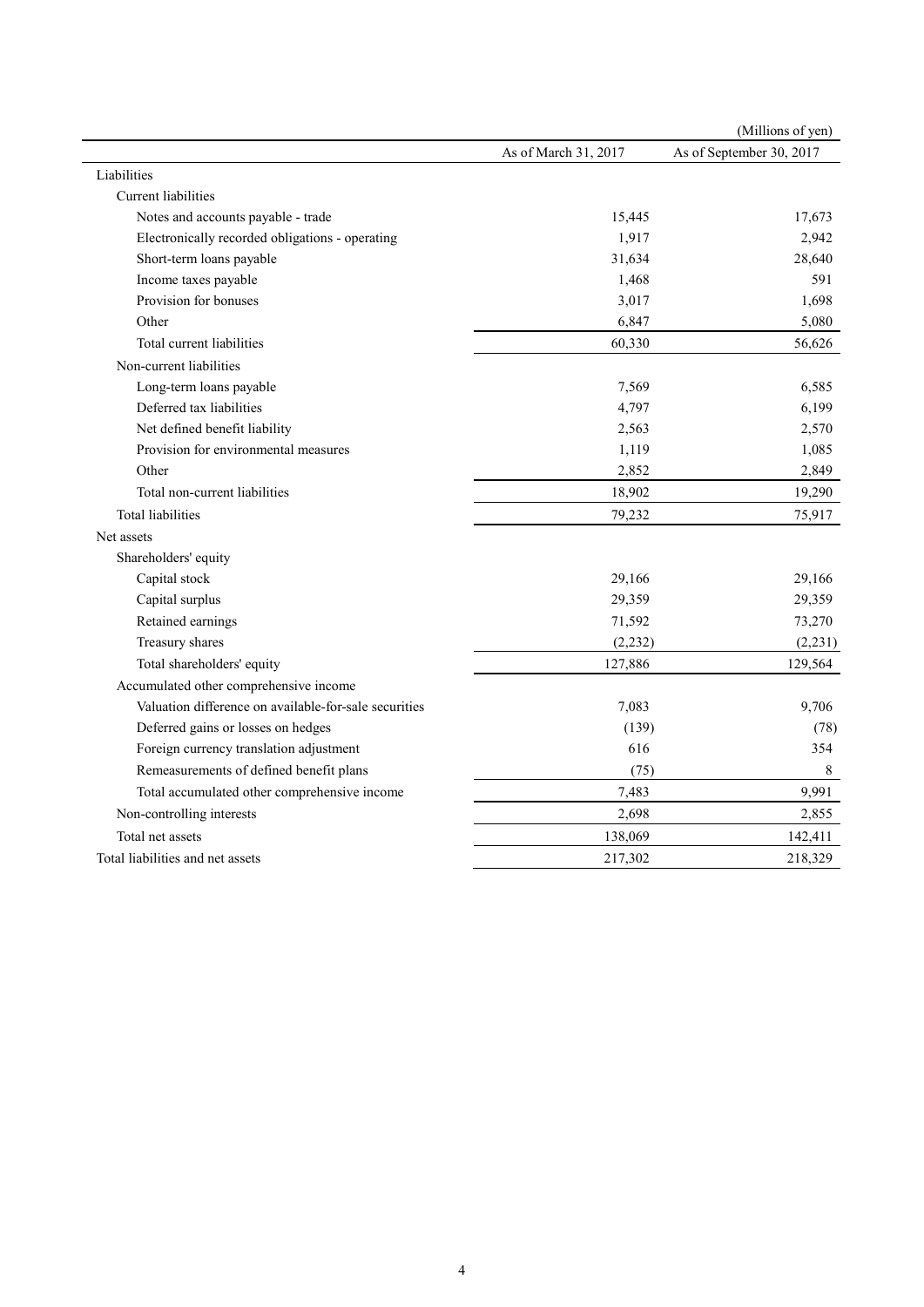|                                                       |                      | (Millions of yen)        |
|-------------------------------------------------------|----------------------|--------------------------|
|                                                       | As of March 31, 2017 | As of September 30, 2017 |
| Liabilities                                           |                      |                          |
| Current liabilities                                   |                      |                          |
| Notes and accounts payable - trade                    | 15,445               | 17,673                   |
| Electronically recorded obligations - operating       | 1,917                | 2,942                    |
| Short-term loans payable                              | 31,634               | 28,640                   |
| Income taxes payable                                  | 1,468                | 591                      |
| Provision for bonuses                                 | 3,017                | 1,698                    |
| Other                                                 | 6,847                | 5,080                    |
| Total current liabilities                             | 60,330               | 56,626                   |
| Non-current liabilities                               |                      |                          |
| Long-term loans payable                               | 7,569                | 6,585                    |
| Deferred tax liabilities                              | 4,797                | 6,199                    |
| Net defined benefit liability                         | 2,563                | 2,570                    |
| Provision for environmental measures                  | 1,119                | 1,085                    |
| Other                                                 | 2,852                | 2,849                    |
| Total non-current liabilities                         | 18,902               | 19,290                   |
| <b>Total liabilities</b>                              | 79,232               | 75,917                   |
| Net assets                                            |                      |                          |
| Shareholders' equity                                  |                      |                          |
| Capital stock                                         | 29,166               | 29,166                   |
| Capital surplus                                       | 29,359               | 29,359                   |
| Retained earnings                                     | 71,592               | 73,270                   |
| Treasury shares                                       | (2, 232)             | (2, 231)                 |
| Total shareholders' equity                            | 127,886              | 129,564                  |
| Accumulated other comprehensive income                |                      |                          |
| Valuation difference on available-for-sale securities | 7,083                | 9,706                    |
| Deferred gains or losses on hedges                    | (139)                | (78)                     |
| Foreign currency translation adjustment               | 616                  | 354                      |
| Remeasurements of defined benefit plans               | (75)                 | 8                        |
| Total accumulated other comprehensive income          | 7,483                | 9,991                    |
| Non-controlling interests                             | 2,698                | 2,855                    |
| Total net assets                                      | 138,069              | 142,411                  |
| Total liabilities and net assets                      | 217,302              | 218,329                  |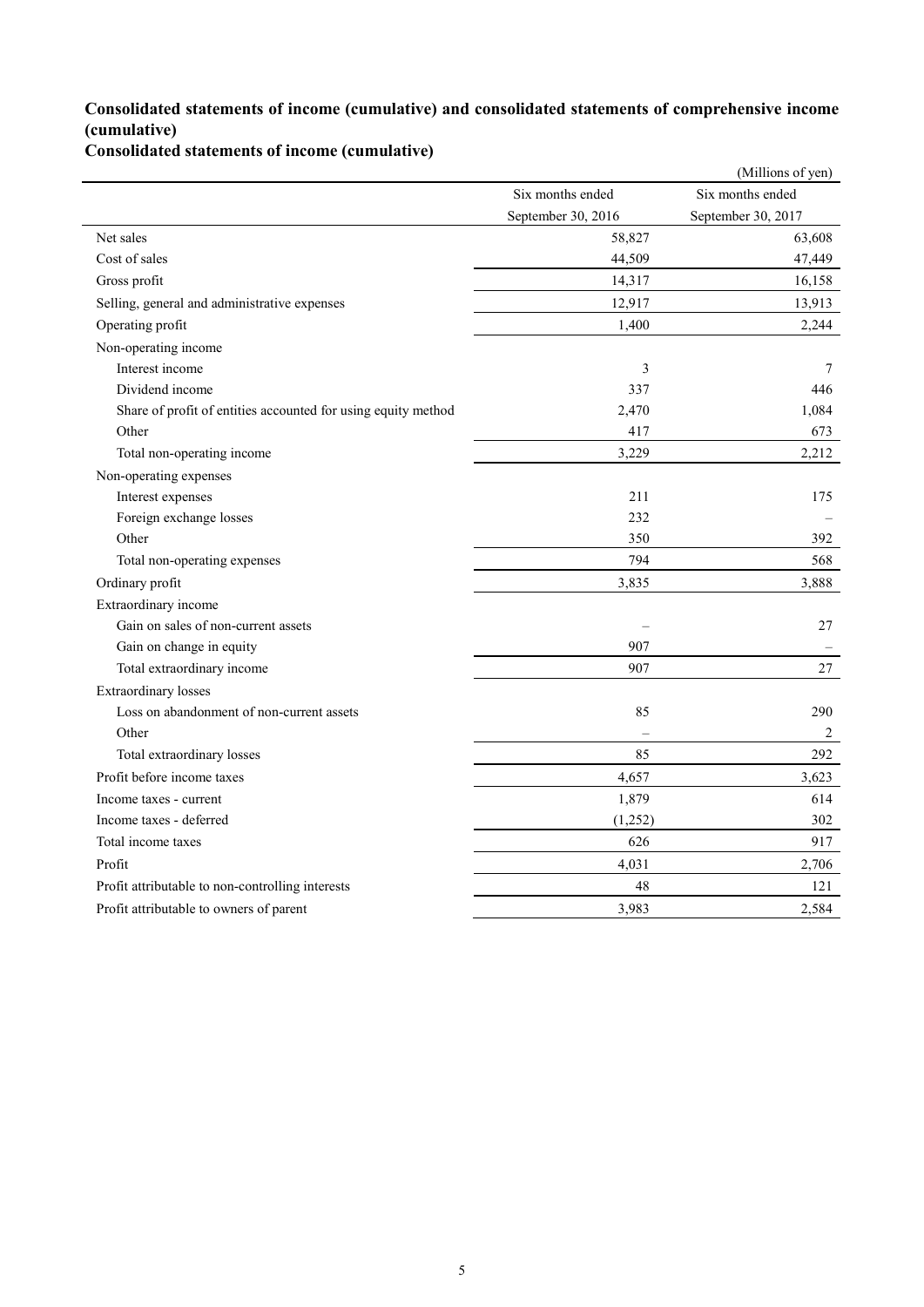## **Consolidated statements of income (cumulative) and consolidated statements of comprehensive income (cumulative)**

**Consolidated statements of income (cumulative)**

|                                                               |                    | (Millions of yen)  |
|---------------------------------------------------------------|--------------------|--------------------|
|                                                               | Six months ended   | Six months ended   |
|                                                               | September 30, 2016 | September 30, 2017 |
| Net sales                                                     | 58,827             | 63,608             |
| Cost of sales                                                 | 44,509             | 47,449             |
| Gross profit                                                  | 14,317             | 16,158             |
| Selling, general and administrative expenses                  | 12,917             | 13,913             |
| Operating profit                                              | 1,400              | 2,244              |
| Non-operating income                                          |                    |                    |
| Interest income                                               | 3                  | 7                  |
| Dividend income                                               | 337                | 446                |
| Share of profit of entities accounted for using equity method | 2,470              | 1,084              |
| Other                                                         | 417                | 673                |
| Total non-operating income                                    | 3,229              | 2,212              |
| Non-operating expenses                                        |                    |                    |
| Interest expenses                                             | 211                | 175                |
| Foreign exchange losses                                       | 232                |                    |
| Other                                                         | 350                | 392                |
| Total non-operating expenses                                  | 794                | 568                |
| Ordinary profit                                               | 3,835              | 3,888              |
| Extraordinary income                                          |                    |                    |
| Gain on sales of non-current assets                           |                    | 27                 |
| Gain on change in equity                                      | 907                |                    |
| Total extraordinary income                                    | 907                | 27                 |
| <b>Extraordinary</b> losses                                   |                    |                    |
| Loss on abandonment of non-current assets                     | 85                 | 290                |
| Other                                                         |                    | $\overline{2}$     |
| Total extraordinary losses                                    | 85                 | 292                |
| Profit before income taxes                                    | 4,657              | 3,623              |
| Income taxes - current                                        | 1,879              | 614                |
| Income taxes - deferred                                       | (1,252)            | 302                |
| Total income taxes                                            | 626                | 917                |
| Profit                                                        | 4,031              | 2,706              |
| Profit attributable to non-controlling interests              | 48                 | 121                |
| Profit attributable to owners of parent                       | 3,983              | 2,584              |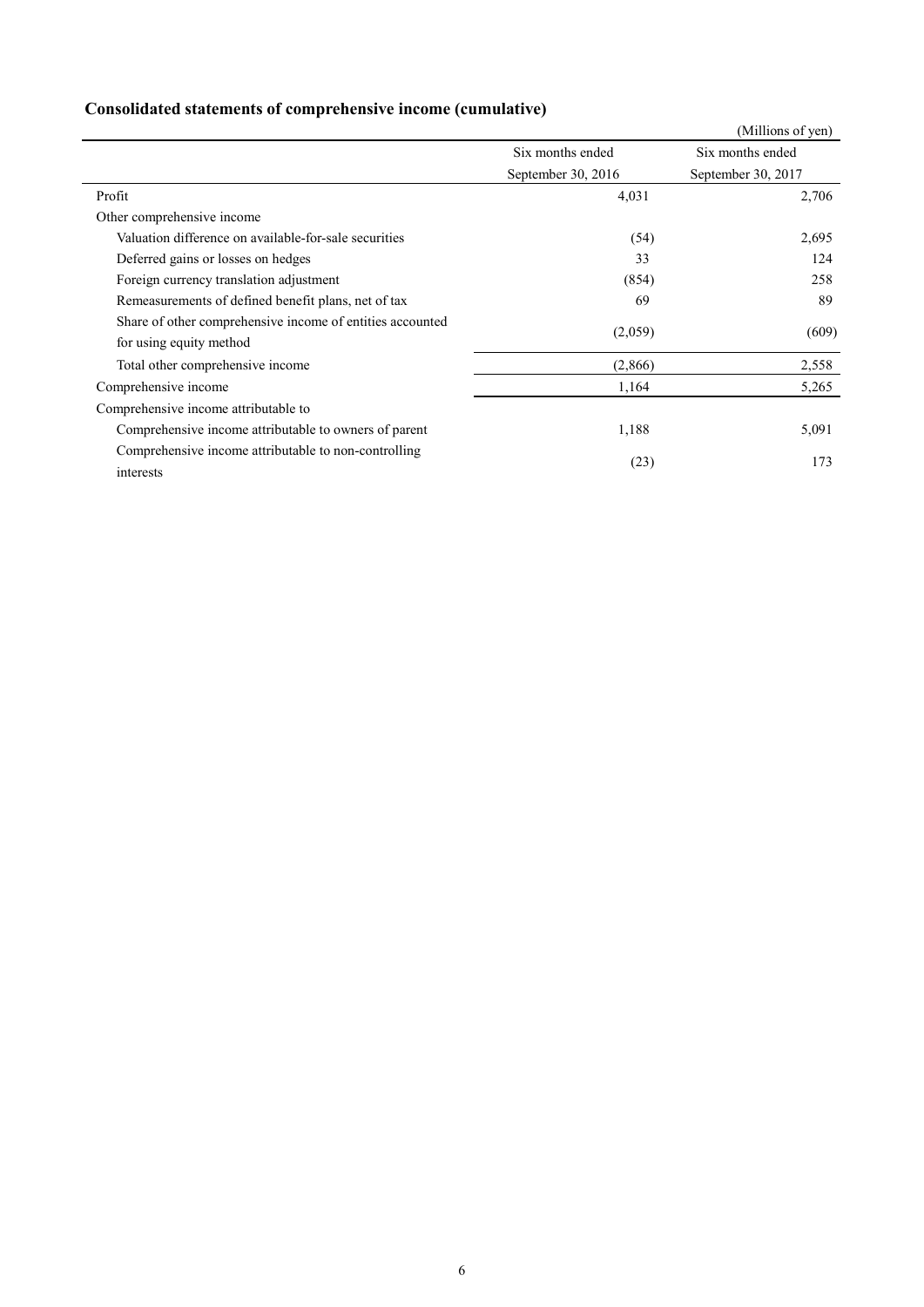| Consolidated statements of comprehensive income (cumulative) |  |  |  |
|--------------------------------------------------------------|--|--|--|
|                                                              |  |  |  |

|                                                           |                    | (Millions of yen)  |
|-----------------------------------------------------------|--------------------|--------------------|
|                                                           | Six months ended   | Six months ended   |
|                                                           | September 30, 2016 | September 30, 2017 |
| Profit                                                    | 4,031              | 2,706              |
| Other comprehensive income                                |                    |                    |
| Valuation difference on available-for-sale securities     | (54)               | 2,695              |
| Deferred gains or losses on hedges                        | 33                 | 124                |
| Foreign currency translation adjustment                   | (854)              | 258                |
| Remeasurements of defined benefit plans, net of tax       | 69                 | 89                 |
| Share of other comprehensive income of entities accounted |                    |                    |
| for using equity method                                   | (2,059)            | (609)              |
| Total other comprehensive income                          | (2,866)            | 2,558              |
| Comprehensive income                                      | 1,164              | 5,265              |
| Comprehensive income attributable to                      |                    |                    |
| Comprehensive income attributable to owners of parent     | 1,188              | 5,091              |
| Comprehensive income attributable to non-controlling      |                    |                    |
| interests                                                 | (23)               | 173                |